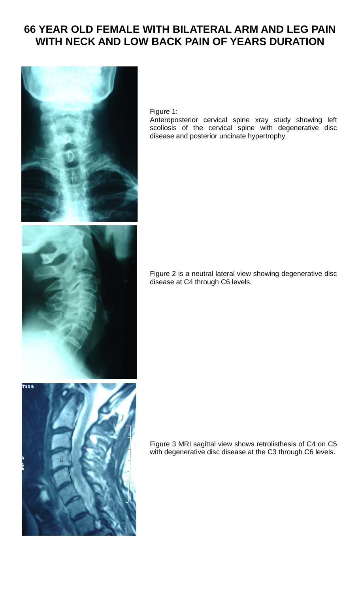## **66 YEAR OLD FEMALE WITH BILATERAL ARM AND LEG PAIN WITH NECK AND LOW BACK PAIN OF YEARS DURATION**



## Figure 1:

Anteroposterior cervical spine xray study showing left scoliosis of the cervical spine with degenerative disc disease and posterior uncinate hypertrophy.

Figure 2 is a neutral lateral view showing degenerative disc disease at C4 through C6 levels.

Figure 3 MRI sagittal view shows retrolisthesis of C4 on C5 with degenerative disc disease at the C3 through C6 levels.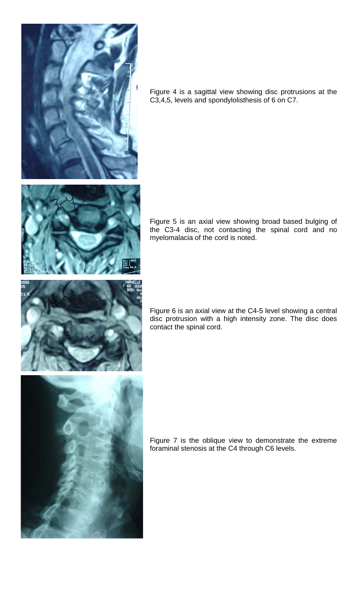

Figure 4 is a sagittal view showing disc protrusions at the C3,4,5, levels and spondylolisthesis of 6 on C7.



Figure 5 is an axial view showing broad based bulging of the C3-4 disc, not contacting the spinal cord and no myelomalacia of the cord is noted.



Figure 6 is an axial view at the C4-5 level showing a central disc protrusion with a high intensity zone. The disc does contact the spinal cord.



Figure 7 is the oblique view to demonstrate the extreme foraminal stenosis at the C4 through C6 levels.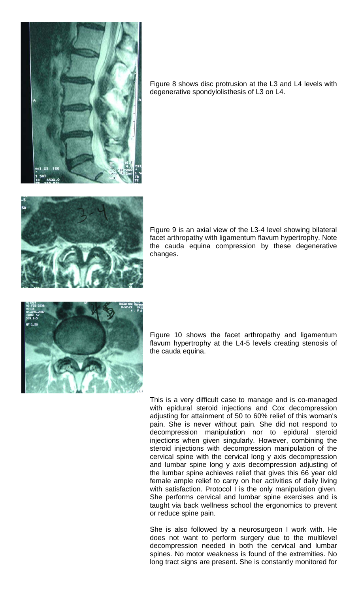

Figure 8 shows disc protrusion at the L3 and L4 levels with degenerative spondylolisthesis of L3 on L4.



Figure 9 is an axial view of the L3-4 level showing bilateral facet arthropathy with ligamentum flavum hypertrophy. Note the cauda equina compression by these degenerative changes.



Figure 10 shows the facet arthropathy and ligamentum flavum hypertrophy at the L4-5 levels creating stenosis of the cauda equina.

This is a very difficult case to manage and is co-managed with epidural steroid injections and Cox decompression adjusting for attainment of 50 to 60% relief of this woman's pain. She is never without pain. She did not respond to decompression manipulation nor to epidural steroid injections when given singularly. However, combining the steroid injections with decompression manipulation of the cervical spine with the cervical long y axis decompression and lumbar spine long y axis decompression adjusting of the lumbar spine achieves relief that gives this 66 year old female ample relief to carry on her activities of daily living with satisfaction. Protocol I is the only manipulation given. She performs cervical and lumbar spine exercises and is taught via back wellness school the ergonomics to prevent or reduce spine pain.

She is also followed by a neurosurgeon I work with. He does not want to perform surgery due to the multilevel decompression needed in both the cervical and lumbar spines. No motor weakness is found of the extremities. No long tract signs are present. She is constantly monitored for